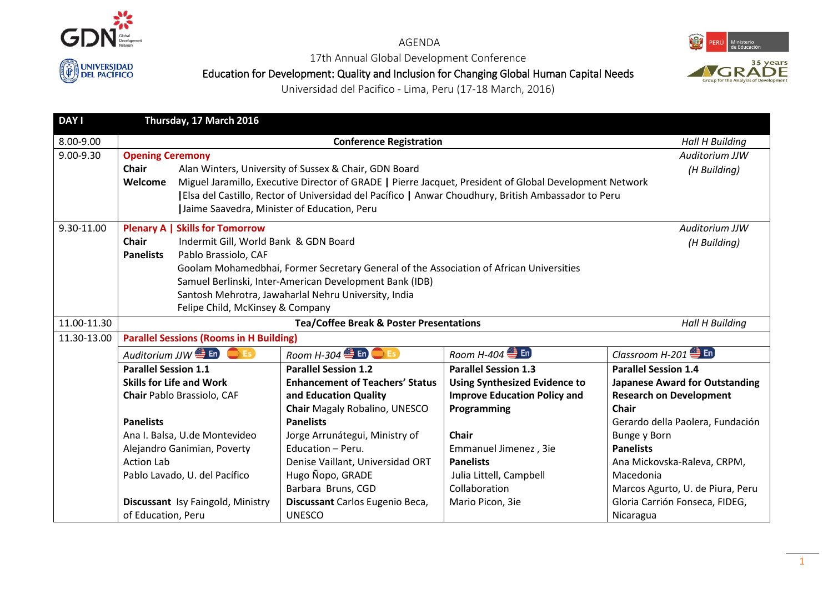

## AGENDA

17th Annual Global Development Conference

Education for Development: Quality and Inclusion for Changing Global Human Capital Needs



Universidad del Pacifico - Lima, Peru (17-18 March, 2016)

| <b>DAY I</b> |                                                                                                                    | Thursday, 17 March 2016                                                                              |                                                    |                                                                                                         |                                       |  |  |
|--------------|--------------------------------------------------------------------------------------------------------------------|------------------------------------------------------------------------------------------------------|----------------------------------------------------|---------------------------------------------------------------------------------------------------------|---------------------------------------|--|--|
| 8.00-9.00    |                                                                                                                    | <b>Conference Registration</b>                                                                       |                                                    |                                                                                                         |                                       |  |  |
| 9.00-9.30    |                                                                                                                    | <b>Opening Ceremony</b>                                                                              |                                                    |                                                                                                         |                                       |  |  |
|              | <b>Chair</b>                                                                                                       | Alan Winters, University of Sussex & Chair, GDN Board                                                | (H Building)                                       |                                                                                                         |                                       |  |  |
|              | Welcome                                                                                                            |                                                                                                      |                                                    | Miguel Jaramillo, Executive Director of GRADE   Pierre Jacquet, President of Global Development Network |                                       |  |  |
|              |                                                                                                                    | [Elsa del Castillo, Rector of Universidad del Pacífico   Anwar Choudhury, British Ambassador to Peru |                                                    |                                                                                                         |                                       |  |  |
|              |                                                                                                                    | Jaime Saavedra, Minister of Education, Peru                                                          |                                                    |                                                                                                         |                                       |  |  |
| 9.30-11.00   |                                                                                                                    | <b>Plenary A   Skills for Tomorrow</b><br>Auditorium JJW                                             |                                                    |                                                                                                         |                                       |  |  |
|              | <b>Chair</b>                                                                                                       | Indermit Gill, World Bank & GDN Board                                                                |                                                    |                                                                                                         | (H Building)                          |  |  |
|              | <b>Panelists</b>                                                                                                   | Pablo Brassiolo, CAF                                                                                 |                                                    |                                                                                                         |                                       |  |  |
|              |                                                                                                                    | Goolam Mohamedbhai, Former Secretary General of the Association of African Universities              |                                                    |                                                                                                         |                                       |  |  |
|              |                                                                                                                    | Samuel Berlinski, Inter-American Development Bank (IDB)                                              |                                                    |                                                                                                         |                                       |  |  |
|              |                                                                                                                    | Santosh Mehrotra, Jawaharlal Nehru University, India                                                 |                                                    |                                                                                                         |                                       |  |  |
|              |                                                                                                                    | Felipe Child, McKinsey & Company                                                                     |                                                    |                                                                                                         |                                       |  |  |
| 11.00-11.30  |                                                                                                                    |                                                                                                      | <b>Tea/Coffee Break &amp; Poster Presentations</b> |                                                                                                         | <b>Hall H Building</b>                |  |  |
| 11.30-13.00  |                                                                                                                    | <b>Parallel Sessions (Rooms in H Building)</b>                                                       |                                                    |                                                                                                         |                                       |  |  |
|              | Auditorium JJW $\bigoplus$ En<br>Room H-304 $\bigoplus$ ED $\bigodot$ ED<br>Room H-404 $\bigoplus$ En<br>$\Box$ Es |                                                                                                      |                                                    | Classroom H-201 $\triangleq$ En                                                                         |                                       |  |  |
|              | <b>Parallel Session 1.1</b><br><b>Skills for Life and Work</b><br>Chair Pablo Brassiolo, CAF                       |                                                                                                      | <b>Parallel Session 1.2</b>                        | <b>Parallel Session 1.3</b>                                                                             | <b>Parallel Session 1.4</b>           |  |  |
|              |                                                                                                                    |                                                                                                      | <b>Enhancement of Teachers' Status</b>             | <b>Using Synthesized Evidence to</b>                                                                    | <b>Japanese Award for Outstanding</b> |  |  |
|              |                                                                                                                    |                                                                                                      | and Education Quality                              | <b>Improve Education Policy and</b>                                                                     | <b>Research on Development</b>        |  |  |
|              |                                                                                                                    |                                                                                                      | Chair Magaly Robalino, UNESCO                      | Programming                                                                                             | Chair                                 |  |  |
|              | <b>Panelists</b>                                                                                                   |                                                                                                      | <b>Panelists</b>                                   |                                                                                                         | Gerardo della Paolera, Fundación      |  |  |
|              | Ana I. Balsa, U.de Montevideo                                                                                      |                                                                                                      | Jorge Arrunátegui, Ministry of                     | <b>Chair</b>                                                                                            | Bunge y Born                          |  |  |
|              | Alejandro Ganimian, Poverty                                                                                        |                                                                                                      | Education - Peru.                                  | Emmanuel Jimenez, 3ie                                                                                   | <b>Panelists</b>                      |  |  |
|              | <b>Action Lab</b>                                                                                                  |                                                                                                      | Denise Vaillant, Universidad ORT                   | <b>Panelists</b>                                                                                        | Ana Mickovska-Raleva, CRPM,           |  |  |
|              | Pablo Lavado, U. del Pacífico                                                                                      |                                                                                                      | Hugo Nopo, GRADE                                   | Julia Littell, Campbell                                                                                 | Macedonia                             |  |  |
|              |                                                                                                                    |                                                                                                      | Barbara Bruns, CGD                                 | Collaboration                                                                                           | Marcos Agurto, U. de Piura, Peru      |  |  |
|              | Discussant Isy Faingold, Ministry                                                                                  |                                                                                                      | Discussant Carlos Eugenio Beca,                    | Mario Picon, 3ie                                                                                        | Gloria Carrión Fonseca, FIDEG,        |  |  |
|              | of Education, Peru                                                                                                 |                                                                                                      | <b>UNESCO</b>                                      |                                                                                                         | Nicaragua                             |  |  |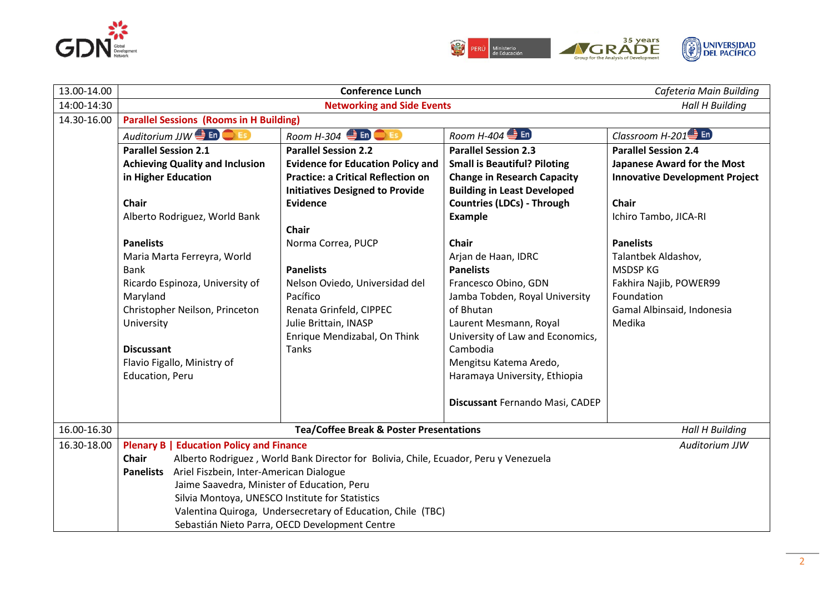



| 13.00-14.00 |                                                                                                                                                                                                                              | Cafeteria Main Building                   |                                     |                                       |  |  |
|-------------|------------------------------------------------------------------------------------------------------------------------------------------------------------------------------------------------------------------------------|-------------------------------------------|-------------------------------------|---------------------------------------|--|--|
| 14:00-14:30 | <b>Networking and Side Events</b><br><b>Hall H Building</b>                                                                                                                                                                  |                                           |                                     |                                       |  |  |
| 14.30-16.00 | <b>Parallel Sessions (Rooms in H Building)</b>                                                                                                                                                                               |                                           |                                     |                                       |  |  |
|             | Auditorium JJW ED C ES                                                                                                                                                                                                       | Room H-304 $\bigoplus$ En $\bigodot$ Es   | Room H-404 $\triangleq$ En          | Classroom $H-201$ En                  |  |  |
|             | <b>Parallel Session 2.1</b>                                                                                                                                                                                                  | <b>Parallel Session 2.2</b>               | <b>Parallel Session 2.3</b>         | <b>Parallel Session 2.4</b>           |  |  |
|             | <b>Achieving Quality and Inclusion</b>                                                                                                                                                                                       | <b>Evidence for Education Policy and</b>  | <b>Small is Beautiful? Piloting</b> | Japanese Award for the Most           |  |  |
|             | in Higher Education                                                                                                                                                                                                          | <b>Practice: a Critical Reflection on</b> | <b>Change in Research Capacity</b>  | <b>Innovative Development Project</b> |  |  |
|             |                                                                                                                                                                                                                              | <b>Initiatives Designed to Provide</b>    | <b>Building in Least Developed</b>  |                                       |  |  |
|             | Chair                                                                                                                                                                                                                        | <b>Evidence</b>                           | <b>Countries (LDCs) - Through</b>   | <b>Chair</b>                          |  |  |
|             | Alberto Rodriguez, World Bank                                                                                                                                                                                                |                                           | <b>Example</b>                      | Ichiro Tambo, JICA-RI                 |  |  |
|             |                                                                                                                                                                                                                              | <b>Chair</b>                              |                                     |                                       |  |  |
|             | <b>Panelists</b>                                                                                                                                                                                                             | Norma Correa, PUCP                        | <b>Chair</b>                        | <b>Panelists</b>                      |  |  |
|             | Maria Marta Ferreyra, World                                                                                                                                                                                                  |                                           | Arjan de Haan, IDRC                 | Talantbek Aldashov,                   |  |  |
|             | Bank                                                                                                                                                                                                                         | <b>Panelists</b>                          | <b>Panelists</b>                    | <b>MSDSP KG</b>                       |  |  |
|             | Ricardo Espinoza, University of                                                                                                                                                                                              | Nelson Oviedo, Universidad del            | Francesco Obino, GDN                | Fakhira Najib, POWER99                |  |  |
|             | Maryland                                                                                                                                                                                                                     | Pacífico                                  | Jamba Tobden, Royal University      | Foundation                            |  |  |
|             | Christopher Neilson, Princeton                                                                                                                                                                                               | Renata Grinfeld, CIPPEC                   | of Bhutan                           | Gamal Albinsaid, Indonesia            |  |  |
|             | University                                                                                                                                                                                                                   | Julie Brittain, INASP                     | Laurent Mesmann, Royal              | Medika                                |  |  |
|             |                                                                                                                                                                                                                              | Enrique Mendizabal, On Think              | University of Law and Economics,    |                                       |  |  |
|             | <b>Discussant</b>                                                                                                                                                                                                            | <b>Tanks</b>                              | Cambodia                            |                                       |  |  |
|             | Flavio Figallo, Ministry of                                                                                                                                                                                                  |                                           | Mengitsu Katema Aredo,              |                                       |  |  |
|             | Education, Peru                                                                                                                                                                                                              |                                           | Haramaya University, Ethiopia       |                                       |  |  |
|             |                                                                                                                                                                                                                              |                                           | Discussant Fernando Masi, CADEP     |                                       |  |  |
| 16.00-16.30 | <b>Tea/Coffee Break &amp; Poster Presentations</b>                                                                                                                                                                           |                                           |                                     | <b>Hall H Building</b>                |  |  |
| 16.30-18.00 | <b>Plenary B   Education Policy and Finance</b>                                                                                                                                                                              |                                           |                                     | Auditorium JJW                        |  |  |
|             | <b>Chair</b><br>Alberto Rodriguez, World Bank Director for Bolivia, Chile, Ecuador, Peru y Venezuela                                                                                                                         |                                           |                                     |                                       |  |  |
|             | Ariel Fiszbein, Inter-American Dialogue<br><b>Panelists</b><br>Jaime Saavedra, Minister of Education, Peru<br>Silvia Montoya, UNESCO Institute for Statistics<br>Valentina Quiroga, Undersecretary of Education, Chile (TBC) |                                           |                                     |                                       |  |  |
|             |                                                                                                                                                                                                                              |                                           |                                     |                                       |  |  |
|             |                                                                                                                                                                                                                              |                                           |                                     |                                       |  |  |
|             |                                                                                                                                                                                                                              |                                           |                                     |                                       |  |  |
|             | Sebastián Nieto Parra, OECD Development Centre                                                                                                                                                                               |                                           |                                     |                                       |  |  |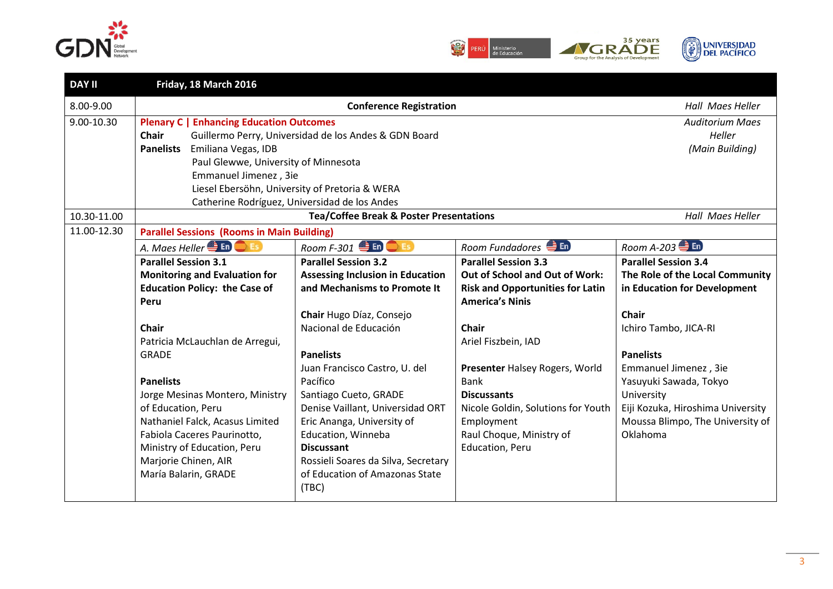



| <b>DAY II</b> | Friday, 18 March 2016                                                                                                                                                                                                                                                                                                                   |                                                                |                                                  |                                                                       |
|---------------|-----------------------------------------------------------------------------------------------------------------------------------------------------------------------------------------------------------------------------------------------------------------------------------------------------------------------------------------|----------------------------------------------------------------|--------------------------------------------------|-----------------------------------------------------------------------|
| 8.00-9.00     | <b>Conference Registration</b>                                                                                                                                                                                                                                                                                                          |                                                                |                                                  |                                                                       |
| 9.00-10.30    | <b>Plenary C   Enhancing Education Outcomes</b><br><b>Chair</b><br>Guillermo Perry, Universidad de los Andes & GDN Board<br><b>Panelists</b><br>Emiliana Vegas, IDB<br>Paul Glewwe, University of Minnesota<br>Emmanuel Jimenez, 3ie<br>Liesel Ebersöhn, University of Pretoria & WERA<br>Catherine Rodríguez, Universidad de los Andes | <b>Auditorium Maes</b><br>Heller<br>(Main Building)            |                                                  |                                                                       |
| 10.30-11.00   |                                                                                                                                                                                                                                                                                                                                         | <b>Tea/Coffee Break &amp; Poster Presentations</b>             |                                                  | Hall Maes Heller                                                      |
| 11.00-12.30   | <b>Parallel Sessions (Rooms in Main Building)</b>                                                                                                                                                                                                                                                                                       |                                                                |                                                  |                                                                       |
|               | A. Maes Heller <sup><sup>1</sup> En <b>C</b>Es</sup>                                                                                                                                                                                                                                                                                    | Room F-301 <b>ED</b> OFS                                       | Room Fundadores En                               | Room A-203 $\bigoplus$ En                                             |
|               | <b>Parallel Session 3.1</b>                                                                                                                                                                                                                                                                                                             | <b>Parallel Session 3.2</b>                                    | <b>Parallel Session 3.3</b>                      | <b>Parallel Session 3.4</b>                                           |
|               | <b>Monitoring and Evaluation for</b>                                                                                                                                                                                                                                                                                                    | <b>Assessing Inclusion in Education</b>                        | Out of School and Out of Work:                   | The Role of the Local Community                                       |
|               | <b>Education Policy: the Case of</b>                                                                                                                                                                                                                                                                                                    | and Mechanisms to Promote It                                   | <b>Risk and Opportunities for Latin</b>          | in Education for Development                                          |
|               | Peru                                                                                                                                                                                                                                                                                                                                    |                                                                | <b>America's Ninis</b>                           |                                                                       |
|               |                                                                                                                                                                                                                                                                                                                                         | Chair Hugo Díaz, Consejo                                       |                                                  | <b>Chair</b>                                                          |
|               | <b>Chair</b>                                                                                                                                                                                                                                                                                                                            | Nacional de Educación                                          | <b>Chair</b>                                     | Ichiro Tambo, JICA-RI                                                 |
|               | Patricia McLauchlan de Arregui,                                                                                                                                                                                                                                                                                                         |                                                                | Ariel Fiszbein, IAD                              |                                                                       |
|               | <b>GRADE</b>                                                                                                                                                                                                                                                                                                                            | <b>Panelists</b>                                               |                                                  | <b>Panelists</b>                                                      |
|               |                                                                                                                                                                                                                                                                                                                                         | Juan Francisco Castro, U. del                                  | Presenter Halsey Rogers, World                   | Emmanuel Jimenez, 3ie                                                 |
|               | <b>Panelists</b>                                                                                                                                                                                                                                                                                                                        | Pacífico                                                       | <b>Bank</b>                                      | Yasuyuki Sawada, Tokyo                                                |
|               | Jorge Mesinas Montero, Ministry                                                                                                                                                                                                                                                                                                         | Santiago Cueto, GRADE                                          | <b>Discussants</b>                               | University                                                            |
|               | of Education, Peru<br>Nathaniel Falck, Acasus Limited                                                                                                                                                                                                                                                                                   | Denise Vaillant, Universidad ORT<br>Eric Ananga, University of | Nicole Goldin, Solutions for Youth<br>Employment | Eiji Kozuka, Hiroshima University<br>Moussa Blimpo, The University of |
|               | Fabiola Caceres Paurinotto,                                                                                                                                                                                                                                                                                                             | Education, Winneba                                             | Raul Choque, Ministry of                         | Oklahoma                                                              |
|               | Ministry of Education, Peru                                                                                                                                                                                                                                                                                                             | <b>Discussant</b>                                              | Education, Peru                                  |                                                                       |
|               | Marjorie Chinen, AIR                                                                                                                                                                                                                                                                                                                    | Rossieli Soares da Silva, Secretary                            |                                                  |                                                                       |
|               | María Balarin, GRADE                                                                                                                                                                                                                                                                                                                    | of Education of Amazonas State                                 |                                                  |                                                                       |
|               |                                                                                                                                                                                                                                                                                                                                         | (TBC)                                                          |                                                  |                                                                       |